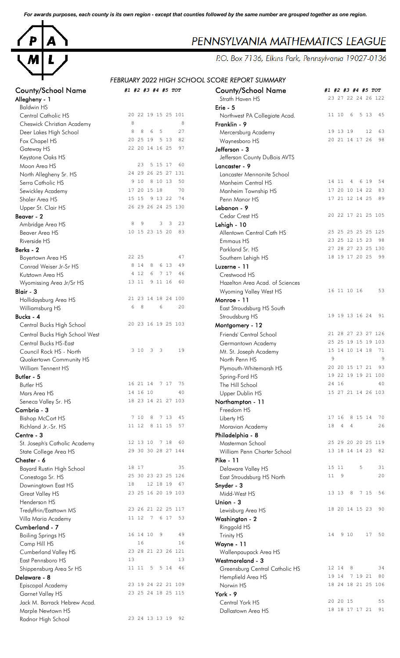*For awards purposes, each county is its own region - except that counties followed by the same number are grouped together as one region.*



# County/School Name *#1 #2 #3 #4 #5 TOT* County/School Name *#1 #2 #3 #4 #5 TOT*

| Allegheny - I                                    |    |                |   |         |       |                    | Strath Haven HS                              |    |          |            |                |       | 23 21 22 24 26 122 |
|--------------------------------------------------|----|----------------|---|---------|-------|--------------------|----------------------------------------------|----|----------|------------|----------------|-------|--------------------|
| <b>Baldwin HS</b>                                |    |                |   |         |       |                    | Erie - 5                                     |    |          |            |                |       |                    |
| Central Catholic HS                              |    |                |   |         |       | 20 22 19 15 25 101 | Northwest PA Collegiate Acad.                |    | 11 10    | 6          |                | 5 1 3 | 45                 |
| Cheswick Christian Academy                       | 8  |                |   |         |       | 8                  | Franklin - 9                                 |    |          |            |                |       |                    |
| Deer Lakes High School                           | 8  | 8              | 6 | 5       |       | 27                 | Mercersburg Academy                          |    | 19 13 19 |            |                | 12    | 63                 |
| Fox Chapel HS                                    |    | 20 25 19       |   |         | 5 1 3 | 82                 | Waynesboro HS                                |    |          |            | 20 21 14 17 26 |       | 98                 |
| Gateway HS                                       |    | 22 20 14 16 25 |   |         |       | 97                 | Jefferson - 3                                |    |          |            |                |       |                    |
| Keystone Oaks HS                                 |    |                |   |         |       |                    | Jefferson County DuBois AVTS                 |    |          |            |                |       |                    |
| Moon Area HS                                     |    | 23             |   | 5 15 17 |       | 60                 | Lancaster - 9                                |    |          |            |                |       |                    |
| North Allegheny Sr. HS                           |    |                |   |         |       | 24 29 26 25 27 131 | Lancaster Mennonite School                   |    |          |            |                |       |                    |
| Serra Catholic HS                                |    | 9 10           |   | 8 10 13 |       | 50                 | Manheim Central HS                           |    | 14 11    | 4          |                | 6 19  | 54                 |
| Sewickley Academy                                |    | 17 20 15 18    |   |         |       | 70                 | Manheim Township HS                          |    |          |            | 17 20 10 14 22 |       | 83                 |
| Shaler Area HS                                   |    | 15 15          |   | 9 13 22 |       | 74                 | Penn Manor HS                                |    |          |            | 17 21 12 14 25 |       | 89                 |
| Upper St. Clair HS                               |    |                |   |         |       | 26 29 26 24 25 130 | Lebanon - 9                                  |    |          |            |                |       |                    |
| Beaver - 2                                       |    |                |   |         |       |                    | Cedar Crest HS                               |    |          |            |                |       | 20 22 17 21 25 105 |
| Ambridge Area HS                                 | 8  | 9              |   | 3       | 3     | 23                 | Lehigh - 10                                  |    |          |            |                |       |                    |
| Beaver Area HS                                   |    | 10 15 23 15 20 |   |         |       | 83                 | Allentown Central Cath HS                    |    |          |            |                |       | 25 25 25 25 25 125 |
| Riverside HS                                     |    |                |   |         |       |                    | Emmaus HS                                    |    |          |            |                |       | 23 25 12 15 23 98  |
| Berks - 2                                        |    |                |   |         |       |                    | Parkland Sr. HS                              |    |          |            |                |       | 27 28 27 23 25 130 |
| Boyertown Area HS                                |    | 22 25          |   |         |       | 47                 | Southern Lehigh HS                           |    |          |            |                |       | 18 19 17 20 25 99  |
| Conrad Weiser Jr-Sr HS                           |    | 8 1 4          | 8 |         | 6 13  | 49                 | Luzerne - 11                                 |    |          |            |                |       |                    |
| Kutztown Area HS                                 |    | 4 12           | 6 |         | 7 17  | 46                 | Crestwood HS                                 |    |          |            |                |       |                    |
| Wyomissing Area Jr/Sr HS                         |    | 13 11          |   | 9 11 16 |       | 60                 | Hazelton Area Acad. of Sciences              |    |          |            |                |       |                    |
| Blair - 3                                        |    |                |   |         |       |                    | Wyoming Valley West HS                       |    |          |            | 16 11 10 16    |       | 53                 |
| Hollidaysburg Area HS                            |    |                |   |         |       | 21 23 14 18 24 100 | Monroe - 11                                  |    |          |            |                |       |                    |
| Williamsburg HS                                  | 6  | 8              |   | 6       |       | 20                 | East Stroudsburg HS South                    |    |          |            |                |       |                    |
| Bucks - 4                                        |    |                |   |         |       |                    | Stroudsburg HS                               |    |          |            |                |       | 19 19 13 16 24 91  |
| Central Bucks High School                        |    |                |   |         |       | 20 23 16 19 25 103 | Montgomery - 12                              |    |          |            |                |       |                    |
|                                                  |    |                |   |         |       |                    | Friends' Central School                      |    |          |            |                |       | 21 28 27 23 27 126 |
| Central Bucks High School West                   |    |                |   |         |       |                    |                                              |    |          |            |                |       | 25 25 19 15 19 103 |
| Central Bucks HS-East<br>Council Rock HS - North |    | 3 10 3         |   | 3       |       | 19                 | Germantown Academy<br>Mt. St. Joseph Academy |    |          |            | 15 14 10 14 18 |       | 71                 |
|                                                  |    |                |   |         |       |                    | North Penn HS                                | 9  |          |            |                |       | 9                  |
| Quakertown Community HS                          |    |                |   |         |       |                    |                                              |    |          |            | 20 20 15 17 21 |       | 93                 |
| William Tennent HS                               |    |                |   |         |       |                    | Plymouth-Whitemarsh HS                       |    |          |            |                |       | 19 22 19 19 21 100 |
| Butler - 5                                       |    | 16 21 14 7 17  |   |         |       | -75                | Spring-Ford HS                               |    | 24 16    |            |                |       | 40                 |
| <b>Butler HS</b>                                 |    | 14 16 10       |   |         |       |                    | The Hill School                              |    |          |            |                |       | 15 27 21 14 26 103 |
| Mars Area HS                                     |    |                |   |         |       | 40                 | Upper Dublin HS                              |    |          |            |                |       |                    |
| Seneca Valley Sr. HS                             |    |                |   |         |       | 18 23 14 21 27 103 | Northampton - 11                             |    |          |            |                |       |                    |
| Cambria - 3                                      |    |                |   |         |       |                    | Freedom HS                                   |    | 17 16    |            |                |       | 70                 |
| <b>Bishop McCort HS</b>                          |    | 7 10           |   | 8 7 13  |       | 45                 | Liberty HS                                   |    |          |            | 8 15 14        |       |                    |
| Richland Jr.-Sr. HS                              |    | 11 12 8 11 15  |   |         |       | 57                 | Moravian Academy                             | 18 |          | $4\quad 4$ |                |       | 26                 |
| Centre - 3                                       |    |                |   |         |       |                    | Philadelphia - 8                             |    |          |            |                |       |                    |
| St. Joseph's Catholic Academy                    |    | 12 13 10 7 18  |   |         |       | 60                 | Masterman School                             |    |          |            |                |       | 25 29 20 20 25 119 |
| State College Area HS                            |    |                |   |         |       | 29 30 30 28 27 144 | William Penn Charter School                  |    |          |            |                |       | 13 18 14 14 23 82  |
| Chester - 6                                      |    |                |   |         |       |                    | <b>Pike - 11</b>                             |    |          |            |                |       |                    |
| <b>Bayard Rustin High School</b>                 |    | 18 17          |   |         |       | 35                 | Delaware Valley HS                           |    | 15 11    |            | 5              |       | 31                 |
| Conestoga Sr. HS                                 |    |                |   |         |       | 25 30 23 23 25 126 | East Stroudsburg HS North                    |    | 11 9     |            |                |       | 20                 |
| Downingtown East HS                              | 18 |                |   |         |       | 12 18 19 67        | Snyder - 3                                   |    |          |            |                |       |                    |
| Great Valley HS                                  |    |                |   |         |       | 23 25 16 20 19 103 | Midd-West HS                                 |    | 13 13    | 8          |                | 7 15  | 56                 |
| Henderson HS                                     |    |                |   |         |       |                    | Union - 3                                    |    |          |            |                |       |                    |
| Tredyffrin/Easttown MS                           |    |                |   |         |       | 23 26 21 22 25 117 | Lewisburg Area HS                            |    |          |            | 18 20 14 15 23 |       | 90                 |
| Villa Maria Academy                              |    | 11 12 7 6 17   |   |         |       | 53                 | Washington - 2                               |    |          |            |                |       |                    |
| Cumberland - 7                                   |    |                |   |         |       |                    | Ringgold HS                                  |    |          |            |                |       |                    |
| <b>Boiling Springs HS</b>                        |    | 16 14 10       |   | 9       |       | 49                 | Trinity HS                                   | 14 |          | 9 10       |                |       | 17 50              |
| Camp Hill HS                                     |    | 16             |   |         |       | 16                 | Wayne - 11                                   |    |          |            |                |       |                    |
| Cumberland Valley HS                             |    |                |   |         |       | 23 28 21 23 26 121 | Wallenpaupack Area HS                        |    |          |            |                |       |                    |
| East Pennsboro HS                                | 13 |                |   |         |       | 13                 | Westmoreland - 3                             |    |          |            |                |       |                    |
| Shippensburg Area Sr HS                          |    | 11 11 5        |   |         | 514   | 46                 | Greensburg Central Catholic HS               |    | 12 14    | 8          |                |       | 34                 |
| Delaware - 8                                     |    |                |   |         |       |                    | Hempfield Area HS                            |    | 19 14    |            | 7 19 21        |       | 80                 |
| Episcopal Academy                                |    |                |   |         |       | 23 19 24 22 21 109 | Norwin HS                                    |    |          |            |                |       | 18 24 18 21 25 106 |
| Garnet Valley HS                                 |    |                |   |         |       | 23 25 24 18 25 115 | York - 9                                     |    |          |            |                |       |                    |
| Jack M. Barrack Hebrew Acad.                     |    |                |   |         |       |                    | Central York HS                              |    | 20 20 15 |            |                |       | 55                 |
| Marple Newtown HS                                |    |                |   |         |       |                    | Dallastown Area HS                           |    |          |            | 18 18 17 17 21 |       | 91                 |
| Radnor High School                               |    |                |   |         |       | 23 24 13 13 19 92  |                                              |    |          |            |                |       |                    |
|                                                  |    |                |   |         |       |                    |                                              |    |          |            |                |       |                    |

# PENNSYLVANIA MATHEMATICS LEAGUE

P.O. Box 7136, Elkins Park, Pennsylvania 19027-0136

## *FEBRUARY 2022 HIGH SCHOOL SCORE REPORT SUMMARY*

| County/School Name<br>Allegheny - 1              | #1 #2 #3 #4 #5 TOT                           | <b>County/School Name</b><br>Strath Haven HS | #1 #2 #3 #4 #5 TOT<br>23 27 22 24 26 122     |
|--------------------------------------------------|----------------------------------------------|----------------------------------------------|----------------------------------------------|
| <b>Baldwin HS</b>                                |                                              | Erie - $5$                                   |                                              |
| <b>Central Catholic HS</b>                       | 20 22 19 15 25 101                           | Northwest PA Collegiate Acad.                | 11 10<br>6<br>5 1 3<br>- 45                  |
| Cheswick Christian Academy                       | 8<br>8                                       | Franklin - 9                                 |                                              |
| Deer Lakes High School                           | 5<br>27<br>8<br>8<br>6                       | Mercersburg Academy                          | 19 13 19<br>12<br>63                         |
| Fox Chapel HS                                    | 5 1 3<br>82<br>20 25 19                      | Waynesboro HS                                | 20 21 14 17 26<br>98                         |
| Gateway HS                                       | 22 20 14 16 25<br>97                         | Jefferson - 3                                |                                              |
| Keystone Oaks HS                                 |                                              | Jefferson County DuBois AVTS                 |                                              |
| Moon Area HS                                     | 23<br>5 15 17<br>60                          | Lancaster - 9                                |                                              |
| North Allegheny Sr. HS                           | 24 29 26 25 27 131                           | Lancaster Mennonite School                   |                                              |
| Serra Catholic HS                                | 9 10<br>8 10 13<br>50                        | Manheim Central HS                           | 14 11<br>6 19<br>-54<br>4                    |
| Sewickley Academy                                | 17 20 15 18<br>70                            | Manheim Township HS                          | 17 20 10 14 22<br>83                         |
| Shaler Area HS                                   | 9 13 22<br>74<br>15 15                       | Penn Manor HS                                | 17 21 12 14 25<br>89                         |
| Upper St. Clair HS                               | 26 29 26 24 25 130                           | Lebanon - 9                                  |                                              |
| Beaver - 2                                       |                                              | Cedar Crest HS                               | 20 22 17 21 25 105                           |
| Ambridge Area HS                                 | 3<br>8<br>9<br>$\overline{\mathbf{3}}$<br>23 | Lehigh - 10                                  |                                              |
|                                                  | 10 15 23 15 20<br>83                         | Allentown Central Cath HS                    | 25 25 25 25 25 125                           |
| Beaver Area HS                                   |                                              |                                              | 23 25 12 15 23<br>98                         |
| Riverside HS                                     |                                              | <b>Emmaus HS</b>                             |                                              |
| Berks - 2                                        |                                              | Parkland Sr. HS                              | 27 28 27 23 25 130                           |
| Boyertown Area HS                                | 22 25<br>47                                  | Southern Lehigh HS                           | 18 19 17 20 25<br>99                         |
| Conrad Weiser Jr-Sr HS                           | 8<br>6 13<br>8 1 4<br>49                     | Luzerne - 11                                 |                                              |
| Kutztown Area HS                                 | 4 1 2<br>6<br>7 17<br>46                     | Crestwood HS                                 |                                              |
| Wyomissing Area Jr/Sr HS                         | 13 11<br>9 11 16<br>60                       | Hazelton Area Acad. of Sciences              |                                              |
| Blair - 3                                        |                                              | Wyoming Valley West HS                       | 53<br>16 11 10 16                            |
| Hollidaysburg Area HS                            | 21 23 14 18 24 100                           | Monroe - 11                                  |                                              |
| Williamsburg HS                                  | 8<br>6<br>20<br>6                            | East Stroudsburg HS South                    |                                              |
| Bucks - 4                                        |                                              | Stroudsburg HS                               | 19 19 13 16 24 91                            |
| Central Bucks High School                        | 20 23 16 19 25 103                           | Montgomery - 12                              |                                              |
| Central Bucks High School West                   |                                              | Friends' Central School                      | 21 28 27 23 27 126                           |
| Central Bucks HS-East                            |                                              | Germantown Academy                           | 25 25 19 15 19 103                           |
| Council Rock HS - North                          | 3<br>19<br>3 10<br>$\overline{\mathbf{3}}$   | Mt. St. Joseph Academy                       | 15 14 10 14 18<br>- 71                       |
| Quakertown Community HS                          |                                              | North Penn HS                                | 9<br>9                                       |
| William Tennent HS                               |                                              | Plymouth-Whitemarsh HS                       | 20 20 15 17 21<br>93                         |
|                                                  |                                              |                                              | 19 22 19 19 21 100                           |
| Butler - 5                                       | 16 21 14 7 17<br>75                          | Spring-Ford HS                               | 24 16<br>40                                  |
| <b>Butler HS</b>                                 | 14 16 10<br>40                               | The Hill School                              |                                              |
| Mars Area HS                                     |                                              | Upper Dublin HS                              | 15 27 21 14 26 103                           |
| Seneca Valley Sr. HS                             | 18 23 14 21 27 103                           | Northampton - 11                             |                                              |
| Cambria - 3                                      |                                              | Freedom HS                                   |                                              |
| <b>Bishop McCort HS</b>                          | 7 10<br>8 7 13<br>45                         | Liberty HS                                   | 8 15 14<br>17 16<br>70                       |
| Richland Jr.-Sr. HS                              | 11 12 8 11 15<br>57                          | Moravian Academy                             | 18<br>$\overline{4}$<br>26<br>$\overline{4}$ |
| Centre - 3                                       |                                              | Philadelphia - 8                             |                                              |
| St. Joseph's Catholic Academy                    | 12 13 10 7 18<br>60                          | Masterman School                             | 25 29 20 20 25 119                           |
| State College Area HS                            | 29 30 30 28 27 144                           | William Penn Charter School                  | 13 18 14 14 23<br>82                         |
| Chester - 6                                      |                                              | <b>Pike - 11</b>                             |                                              |
| Bayard Rustin High School                        | 35<br>18 17                                  | Delaware Valley HS                           | 5<br>15 11<br>31                             |
| Conestoga Sr. HS                                 | 25 30 23 23 25 126                           | East Stroudsburg HS North                    | 20<br>11 9                                   |
| Downingtown East HS                              | 12 18 19<br>18<br>67                         | Snyder - 3                                   |                                              |
| <b>Great Valley HS</b>                           | 23 25 16 20 19 103                           | Midd-West HS                                 | 13 13 8 7 15<br>56                           |
| Henderson HS                                     |                                              | Union - 3                                    |                                              |
| Tredyffrin/Easttown MS                           | 23 26 21 22 25 117                           | Lewisburg Area HS                            | 18 20 14 15 23<br>- 90                       |
| Villa Maria Academy                              | 11 12 7 6 17<br>53                           | Washington - 2                               |                                              |
| Cumberland - 7                                   |                                              | Ringgold HS                                  |                                              |
| <b>Boiling Springs HS</b>                        | 16 14 10<br>9<br>49                          | Trinity HS                                   | 9 10<br>17<br>14<br>50                       |
| Camp Hill HS                                     | 16<br>16                                     | Wayne - 11                                   |                                              |
|                                                  | 23 28 21 23 26 121                           | Wallenpaupack Area HS                        |                                              |
| <b>Cumberland Valley HS</b><br>East Pennsboro HS | 13<br>13                                     |                                              |                                              |
|                                                  | 11 11 5 5 14<br>46                           | Westmoreland - 3                             | 12 14<br>8<br>34                             |
| Shippensburg Area Sr HS                          |                                              | Greensburg Central Catholic HS               | 80                                           |
| Delaware - 8                                     |                                              | Hempfield Area HS                            | 7 19 21<br>19 14                             |
| Episcopal Academy                                | 23 19 24 22 21 109                           | Norwin HS                                    | 18 24 18 21 25 106                           |
| Garnet Valley HS                                 | 23 25 24 18 25 115                           | York - 9                                     |                                              |
| Jack M. Barrack Hebrew Acad.                     |                                              | Central York HS                              | 20 20 15<br>55                               |
| Marple Newtown HS                                |                                              | Dallastown Area HS                           | 18 18 17 17 21 91                            |